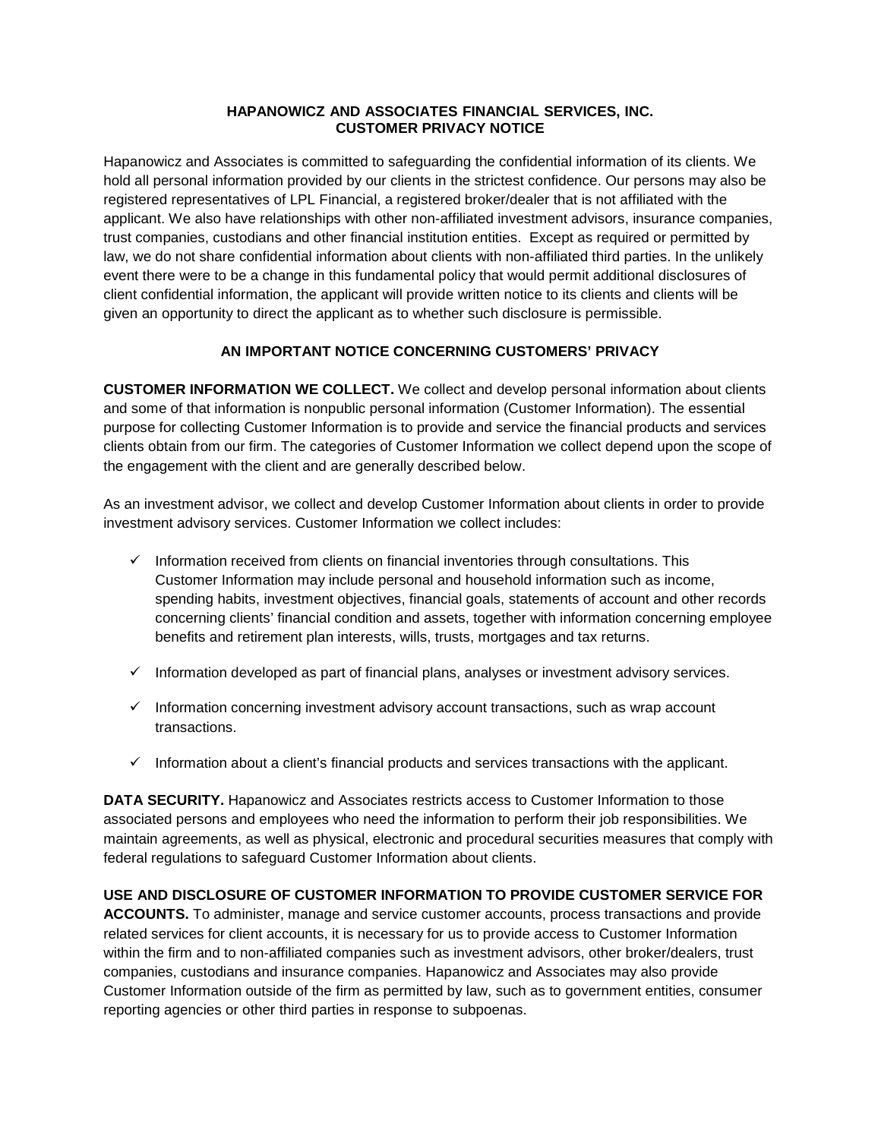## **HAPANOWICZ AND ASSOCIATES FINANCIAL SERVICES, INC. CUSTOMER PRIVACY NOTICE**

Hapanowicz and Associates is committed to safeguarding the confidential information of its clients. We hold all personal information provided by our clients in the strictest confidence. Our persons may also be registered representatives of LPL Financial, a registered broker/dealer that is not affiliated with the applicant. We also have relationships with other non-affiliated investment advisors, insurance companies, trust companies, custodians and other financial institution entities. Except as required or permitted by law, we do not share confidential information about clients with non-affiliated third parties. In the unlikely event there were to be a change in this fundamental policy that would permit additional disclosures of client confidential information, the applicant will provide written notice to its clients and clients will be given an opportunity to direct the applicant as to whether such disclosure is permissible.

## **AN IMPORTANT NOTICE CONCERNING CUSTOMERS' PRIVACY**

**CUSTOMER INFORMATION WE COLLECT.** We collect and develop personal information about clients and some of that information is nonpublic personal information (Customer Information). The essential purpose for collecting Customer Information is to provide and service the financial products and services clients obtain from our firm. The categories of Customer Information we collect depend upon the scope of the engagement with the client and are generally described below.

As an investment advisor, we collect and develop Customer Information about clients in order to provide investment advisory services. Customer Information we collect includes:

- $\checkmark$  Information received from clients on financial inventories through consultations. This Customer Information may include personal and household information such as income, spending habits, investment objectives, financial goals, statements of account and other records concerning clients' financial condition and assets, together with information concerning employee benefits and retirement plan interests, wills, trusts, mortgages and tax returns.
- $\checkmark$  Information developed as part of financial plans, analyses or investment advisory services.
- $\checkmark$  Information concerning investment advisory account transactions, such as wrap account transactions.
- $\checkmark$  Information about a client's financial products and services transactions with the applicant.

**DATA SECURITY.** Hapanowicz and Associates restricts access to Customer Information to those associated persons and employees who need the information to perform their job responsibilities. We maintain agreements, as well as physical, electronic and procedural securities measures that comply with federal regulations to safeguard Customer Information about clients.

**USE AND DISCLOSURE OF CUSTOMER INFORMATION TO PROVIDE CUSTOMER SERVICE FOR ACCOUNTS.** To administer, manage and service customer accounts, process transactions and provide related services for client accounts, it is necessary for us to provide access to Customer Information

within the firm and to non-affiliated companies such as investment advisors, other broker/dealers, trust companies, custodians and insurance companies. Hapanowicz and Associates may also provide Customer Information outside of the firm as permitted by law, such as to government entities, consumer reporting agencies or other third parties in response to subpoenas.